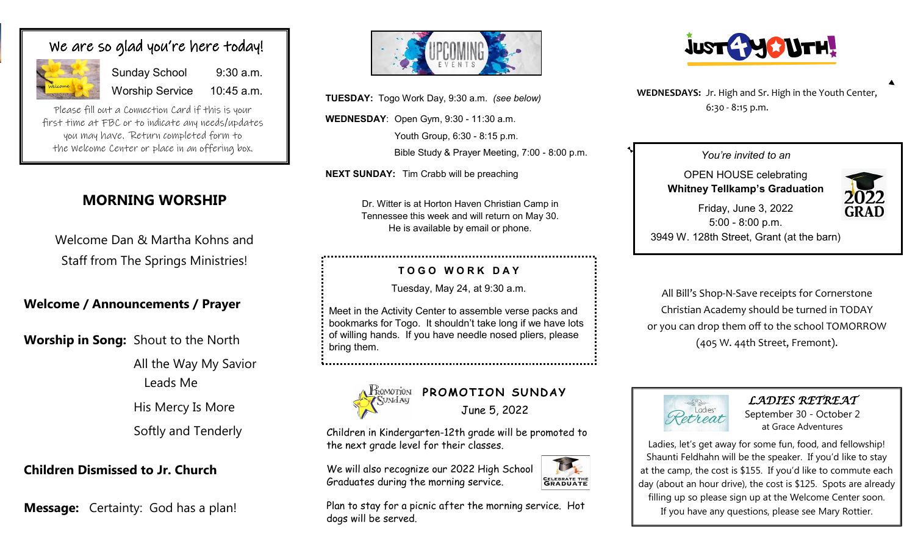# We are so glad you're here today!



Sunday School 9:30 a.m. Worship Service 10:45 a.m.

Please fill out a Connection Card if this is your first time at FBC or to indicate any needs/updates you may have. Return completed form to the Welcome Center or place in an offering box.

# **MORNING WORSHIP**

Welcome Dan & Martha Kohns and Staff from The Springs Ministries!

## **Welcome / Announcements / Prayer**

**Worship in Song:** Shout to the North

All the Way My Savior Leads Me

His Mercy Is More Softly and Tenderly

**Children Dismissed to Jr. Church** 

**Message:** Certainty: God has a plan!



**TUESDAY:** Togo Work Day, 9:30 a.m. *(see below)*

**WEDNESDAY**: Open Gym, 9:30 - 11:30 a.m.

Youth Group, 6:30 - 8:15 p.m. Bible Study & Prayer Meeting, 7:00 - 8:00 p.m.

**NEXT SUNDAY:** Tim Crabb will be preaching

Dr. Witter is at Horton Haven Christian Camp in Tennessee this week and will return on May 30. He is available by email or phone.

### **T O G O W O R K D A Y**

Tuesday, May 24, at 9:30 a.m.

Meet in the Activity Center to assemble verse packs and bookmarks for Togo. It shouldn't take long if we have lots of willing hands. If you have needle nosed pliers, please bring them.



*PROMOTION SUNDAY* June 5, 2022

Children in Kindergarten-12th grade will be promoted to the next grade level for their classes.

We will also recognize our 2022 High School Graduates during the morning service.

**CELEBRATE THE**<br>**GRADUATE** 

Plan to stay for a picnic after the morning service. Hot dogs will be served.



**WEDNESDAYS:** Jr. High and Sr. High in the Youth Center, 6:30 - 8:15 p.m.

#### *You're invited to an*

OPEN HOUSE celebrating **Whitney Tellkamp's Graduation**



Friday, June 3, 2022 5:00 - 8:00 p.m. 3949 W. 128th Street, Grant (at the barn)

All Bill's Shop-N-Save receipts for Cornerstone Christian Academy should be turned in TODAY or you can drop them off to the school TOMORROW (405 W. 44th Street, Fremont).



*LADIES RETREAT* 

September 30 - October 2 at Grace Adventures

Ladies, let's get away for some fun, food, and fellowship! Shaunti Feldhahn will be the speaker. If you'd like to stay at the camp, the cost is \$155. If you'd like to commute each day (about an hour drive), the cost is \$125. Spots are already filling up so please sign up at the Welcome Center soon. If you have any questions, please see Mary Rottier.